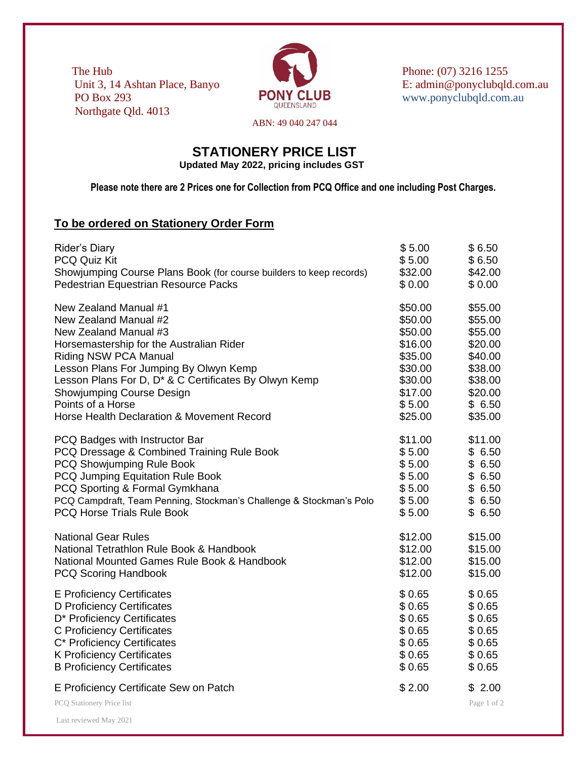The Hub Phone: (07) 3216 1255 PONY CLUB www.ponyclubqld.com.au Northgate Qld. 4013



Unit 3, 14 Ashtan Place, Banyo E: admin@ponyclubqld.com.au<br>
PONY CLUB www.ponyclubald.com.au

ABN: 49 040 247 044

## **STATIONERY PRICE LIST Updated May 2022, pricing includes GST**

**Please note there are 2 Prices one for Collection from PCQ Office and one including Post Charges.**

## **To be ordered on Stationery Order Form**

Last reviewed May 2021

| <b>Rider's Diary</b>                                                | \$5.00  | \$6.50                |
|---------------------------------------------------------------------|---------|-----------------------|
| <b>PCQ Quiz Kit</b>                                                 | \$5.00  | \$6.50                |
| Showjumping Course Plans Book (for course builders to keep records) | \$32.00 | \$42.00               |
| Pedestrian Equestrian Resource Packs                                | \$0.00  | \$0.00                |
| New Zealand Manual #1                                               | \$50.00 | \$55.00               |
| New Zealand Manual #2                                               | \$50.00 | \$55.00               |
| New Zealand Manual #3                                               | \$50.00 | \$55.00               |
| Horsemastership for the Australian Rider                            | \$16.00 | \$20.00               |
| <b>Riding NSW PCA Manual</b>                                        | \$35.00 | \$40.00               |
| Lesson Plans For Jumping By Olwyn Kemp                              | \$30.00 | \$38.00               |
| Lesson Plans For D, D <sup>*</sup> & C Certificates By Olwyn Kemp   | \$30.00 | \$38.00               |
| <b>Showjumping Course Design</b>                                    | \$17.00 | \$20.00               |
| Points of a Horse                                                   | \$5.00  | \$6.50                |
| Horse Health Declaration & Movement Record                          | \$25.00 | \$35.00               |
| PCQ Badges with Instructor Bar                                      | \$11.00 | \$11.00               |
| PCQ Dressage & Combined Training Rule Book                          | \$5.00  | \$6.50                |
| PCQ Showjumping Rule Book                                           | \$5.00  | \$6.50                |
| PCQ Jumping Equitation Rule Book                                    | \$5.00  | \$6.50                |
| PCQ Sporting & Formal Gymkhana                                      | \$5.00  | \$6.50                |
| PCQ Campdraft, Team Penning, Stockman's Challenge & Stockman's Polo | \$5.00  | \$6.50                |
| <b>PCQ Horse Trials Rule Book</b>                                   | \$5.00  | \$6.50                |
| <b>National Gear Rules</b>                                          | \$12.00 | \$15.00               |
| National Tetrathlon Rule Book & Handbook                            | \$12.00 | \$15.00               |
| National Mounted Games Rule Book & Handbook                         | \$12.00 | \$15.00               |
| <b>PCQ Scoring Handbook</b>                                         | \$12.00 | \$15.00               |
| <b>E</b> Proficiency Certificates                                   | \$0.65  | \$0.65                |
| D Proficiency Certificates                                          | \$0.65  | \$0.65                |
| D* Proficiency Certificates                                         | \$0.65  | \$0.65                |
| <b>C</b> Proficiency Certificates                                   | \$0.65  | \$0.65                |
| C* Proficiency Certificates                                         | \$0.65  | \$0.65                |
| <b>K Proficiency Certificates</b>                                   | \$0.65  | \$0.65                |
| <b>B Proficiency Certificates</b>                                   | \$0.65  | \$0.65                |
| E Proficiency Certificate Sew on Patch<br>PCQ Stationery Price list | \$2.00  | \$2.00<br>Page 1 of 2 |